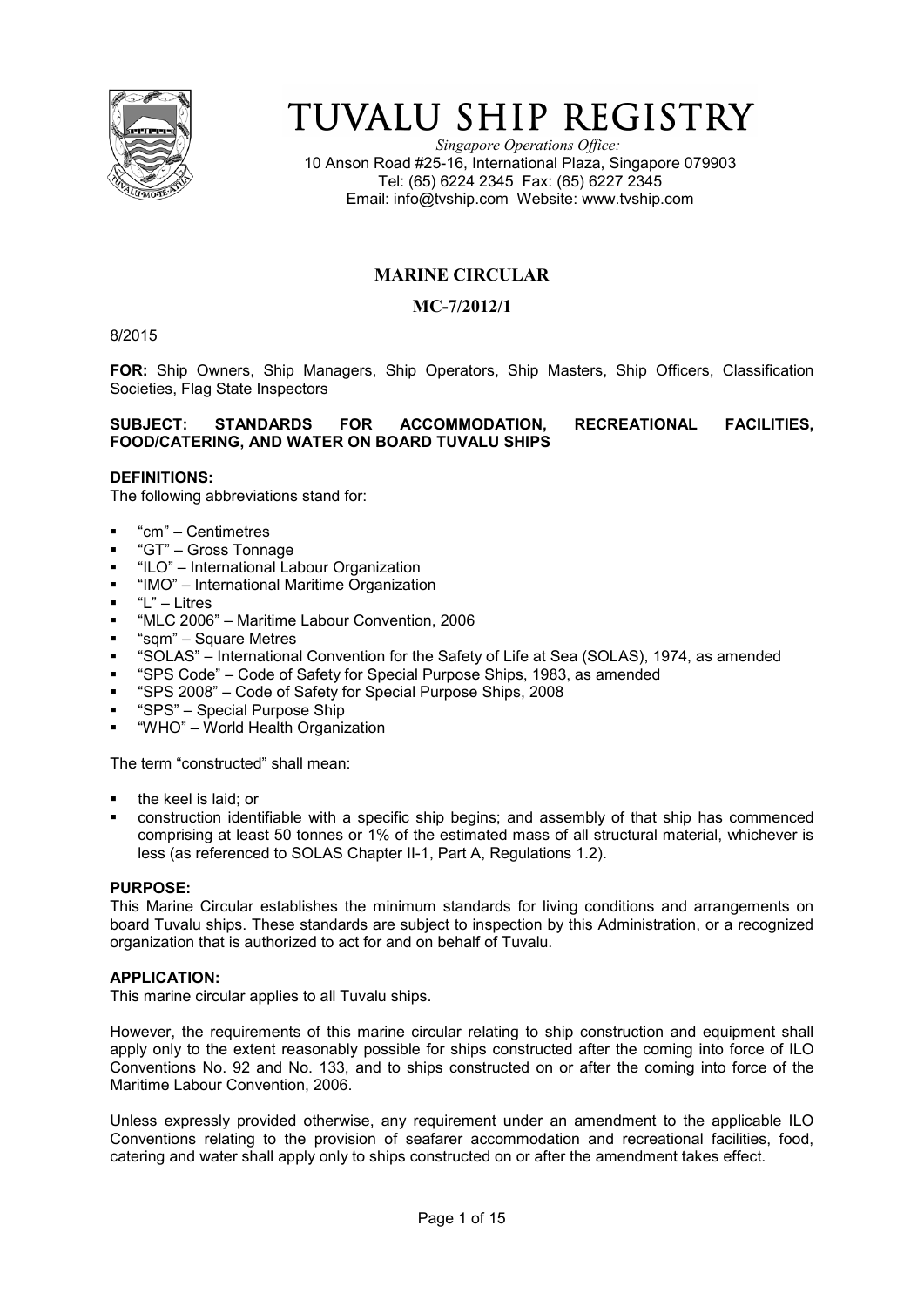

# TUVALU SHIP REGISTRY

*Singapore Operations Office:* 10 Anson Road #25-16, International Plaza, Singapore 079903 Tel: (65) 6224 2345 Fax: (65) 6227 2345 Email: info@tvship.com Website: www.tvship.com

# **MARINE CIRCULAR**

## **MC-7/2012/1**

8/2015

**FOR:** Ship Owners, Ship Managers, Ship Operators, Ship Masters, Ship Officers, Classification Societies, Flag State Inspectors

## **SUBJECT: STANDARDS FOR ACCOMMODATION, RECREATIONAL FACILITIES, FOOD/CATERING, AND WATER ON BOARD TUVALU SHIPS**

## **DEFINITIONS:**

The following abbreviations stand for:

- "cm" Centimetres
- "GT" Gross Tonnage
- "ILO" International Labour Organization
- "IMO" International Maritime Organization
- "L" Litres
- "MLC 2006" Maritime Labour Convention, 2006
- "sqm" Square Metres
- "SOLAS" International Convention for the Safety of Life at Sea (SOLAS), 1974, as amended
- "SPS Code" Code of Safety for Special Purpose Ships, 1983, as amended
- "SPS 2008" Code of Safety for Special Purpose Ships, 2008
- "SPS" Special Purpose Ship
- "WHO" World Health Organization

The term "constructed" shall mean:

- the keel is laid; or
- construction identifiable with a specific ship begins; and assembly of that ship has commenced comprising at least 50 tonnes or 1% of the estimated mass of all structural material, whichever is less (as referenced to SOLAS Chapter II-1, Part A, Regulations 1.2).

#### **PURPOSE:**

This Marine Circular establishes the minimum standards for living conditions and arrangements on board Tuvalu ships. These standards are subject to inspection by this Administration, or a recognized organization that is authorized to act for and on behalf of Tuvalu.

## **APPLICATION:**

This marine circular applies to all Tuvalu ships.

However, the requirements of this marine circular relating to ship construction and equipment shall apply only to the extent reasonably possible for ships constructed after the coming into force of ILO Conventions No. 92 and No. 133, and to ships constructed on or after the coming into force of the Maritime Labour Convention, 2006.

Unless expressly provided otherwise, any requirement under an amendment to the applicable ILO Conventions relating to the provision of seafarer accommodation and recreational facilities, food, catering and water shall apply only to ships constructed on or after the amendment takes effect.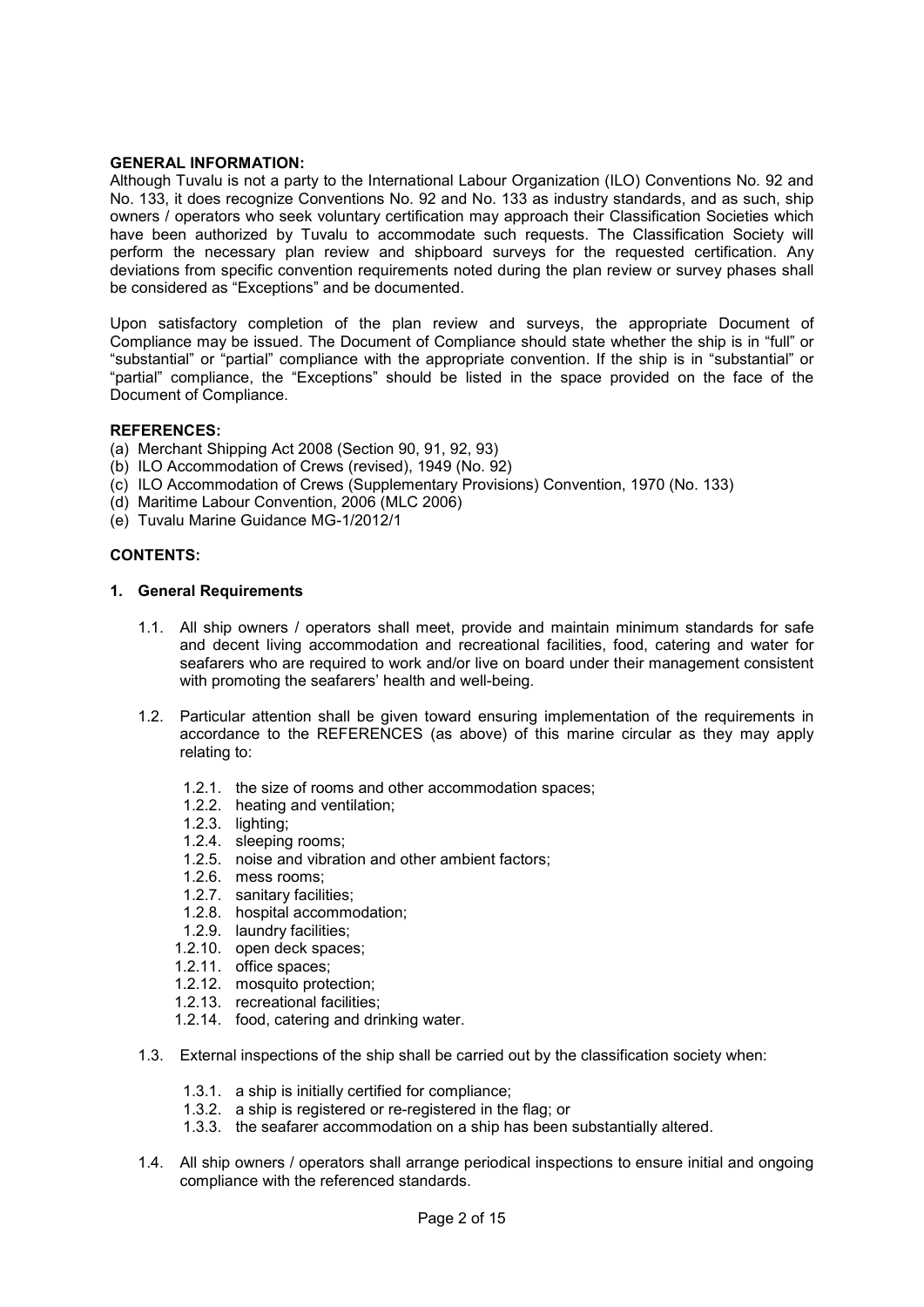### **GENERAL INFORMATION:**

Although Tuvalu is not a party to the International Labour Organization (ILO) Conventions No. 92 and No. 133, it does recognize Conventions No. 92 and No. 133 as industry standards, and as such, ship owners / operators who seek voluntary certification may approach their Classification Societies which have been authorized by Tuvalu to accommodate such requests. The Classification Society will perform the necessary plan review and shipboard surveys for the requested certification. Any deviations from specific convention requirements noted during the plan review or survey phases shall be considered as "Exceptions" and be documented.

Upon satisfactory completion of the plan review and surveys, the appropriate Document of Compliance may be issued. The Document of Compliance should state whether the ship is in "full" or "substantial" or "partial" compliance with the appropriate convention. If the ship is in "substantial" or "partial" compliance, the "Exceptions" should be listed in the space provided on the face of the Document of Compliance.

## **REFERENCES:**

- (a) Merchant Shipping Act 2008 (Section 90, 91, 92, 93)
- (b) ILO Accommodation of Crews (revised), 1949 (No. 92)
- (c) ILO Accommodation of Crews (Supplementary Provisions) Convention, 1970 (No. 133)
- (d) Maritime Labour Convention, 2006 (MLC 2006)
- (e) Tuvalu Marine Guidance MG-1/2012/1

## **CONTENTS:**

#### **1. General Requirements**

- 1.1. All ship owners / operators shall meet, provide and maintain minimum standards for safe and decent living accommodation and recreational facilities, food, catering and water for seafarers who are required to work and/or live on board under their management consistent with promoting the seafarers' health and well-being.
- 1.2. Particular attention shall be given toward ensuring implementation of the requirements in accordance to the REFERENCES (as above) of this marine circular as they may apply relating to:
	- 1.2.1. the size of rooms and other accommodation spaces;
	- 1.2.2. heating and ventilation;
	- 1.2.3. lighting;
	- 1.2.4. sleeping rooms;
	- 1.2.5. noise and vibration and other ambient factors;
	- 1.2.6. mess rooms;
	- 1.2.7. sanitary facilities;
	- 1.2.8. hospital accommodation;
	- 1.2.9. laundry facilities;
	- 1.2.10. open deck spaces;
	- 1.2.11. office spaces;
	- 1.2.12. mosquito protection;
	- 1.2.13. recreational facilities;
	- 1.2.14. food, catering and drinking water.
- 1.3. External inspections of the ship shall be carried out by the classification society when:
	- 1.3.1. a ship is initially certified for compliance;
	- 1.3.2. a ship is registered or re-registered in the flag; or
	- 1.3.3. the seafarer accommodation on a ship has been substantially altered.
- 1.4. All ship owners / operators shall arrange periodical inspections to ensure initial and ongoing compliance with the referenced standards.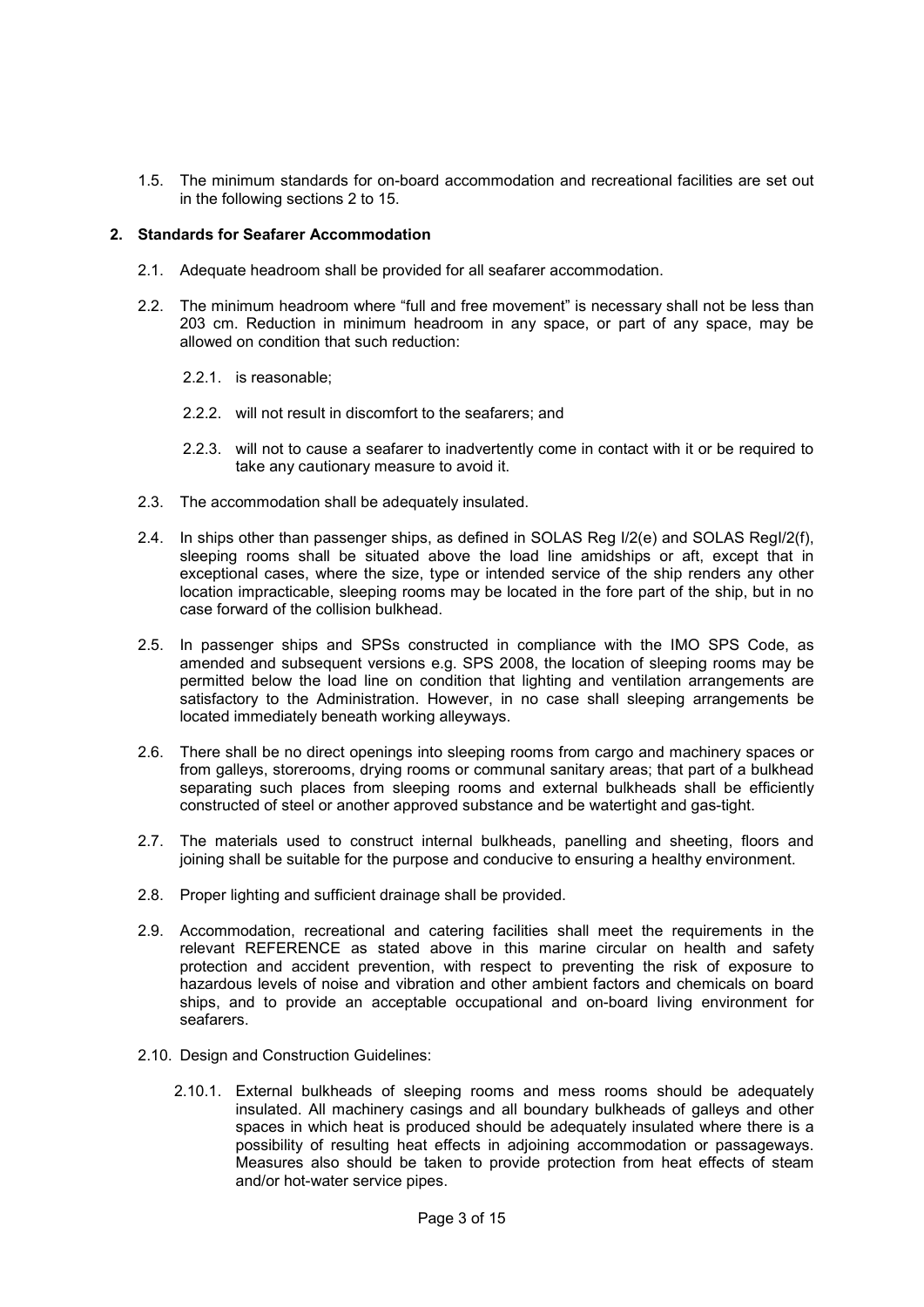1.5. The minimum standards for on-board accommodation and recreational facilities are set out in the following sections 2 to 15.

## **2. Standards for Seafarer Accommodation**

- 2.1. Adequate headroom shall be provided for all seafarer accommodation.
- 2.2. The minimum headroom where "full and free movement" is necessary shall not be less than 203 cm. Reduction in minimum headroom in any space, or part of any space, may be allowed on condition that such reduction:
	- 2.2.1. is reasonable;
	- 2.2.2. will not result in discomfort to the seafarers; and
	- 2.2.3. will not to cause a seafarer to inadvertently come in contact with it or be required to take any cautionary measure to avoid it.
- 2.3. The accommodation shall be adequately insulated.
- 2.4. In ships other than passenger ships, as defined in SOLAS Reg I/2(e) and SOLAS RegI/2(f), sleeping rooms shall be situated above the load line amidships or aft, except that in exceptional cases, where the size, type or intended service of the ship renders any other location impracticable, sleeping rooms may be located in the fore part of the ship, but in no case forward of the collision bulkhead.
- 2.5. In passenger ships and SPSs constructed in compliance with the IMO SPS Code, as amended and subsequent versions e.g. SPS 2008, the location of sleeping rooms may be permitted below the load line on condition that lighting and ventilation arrangements are satisfactory to the Administration. However, in no case shall sleeping arrangements be located immediately beneath working alleyways.
- 2.6. There shall be no direct openings into sleeping rooms from cargo and machinery spaces or from galleys, storerooms, drying rooms or communal sanitary areas; that part of a bulkhead separating such places from sleeping rooms and external bulkheads shall be efficiently constructed of steel or another approved substance and be watertight and gas-tight.
- 2.7. The materials used to construct internal bulkheads, panelling and sheeting, floors and joining shall be suitable for the purpose and conducive to ensuring a healthy environment.
- 2.8. Proper lighting and sufficient drainage shall be provided.
- 2.9. Accommodation, recreational and catering facilities shall meet the requirements in the relevant REFERENCE as stated above in this marine circular on health and safety protection and accident prevention, with respect to preventing the risk of exposure to hazardous levels of noise and vibration and other ambient factors and chemicals on board ships, and to provide an acceptable occupational and on-board living environment for seafarers.
- 2.10. Design and Construction Guidelines:
	- 2.10.1. External bulkheads of sleeping rooms and mess rooms should be adequately insulated. All machinery casings and all boundary bulkheads of galleys and other spaces in which heat is produced should be adequately insulated where there is a possibility of resulting heat effects in adjoining accommodation or passageways. Measures also should be taken to provide protection from heat effects of steam and/or hot-water service pipes.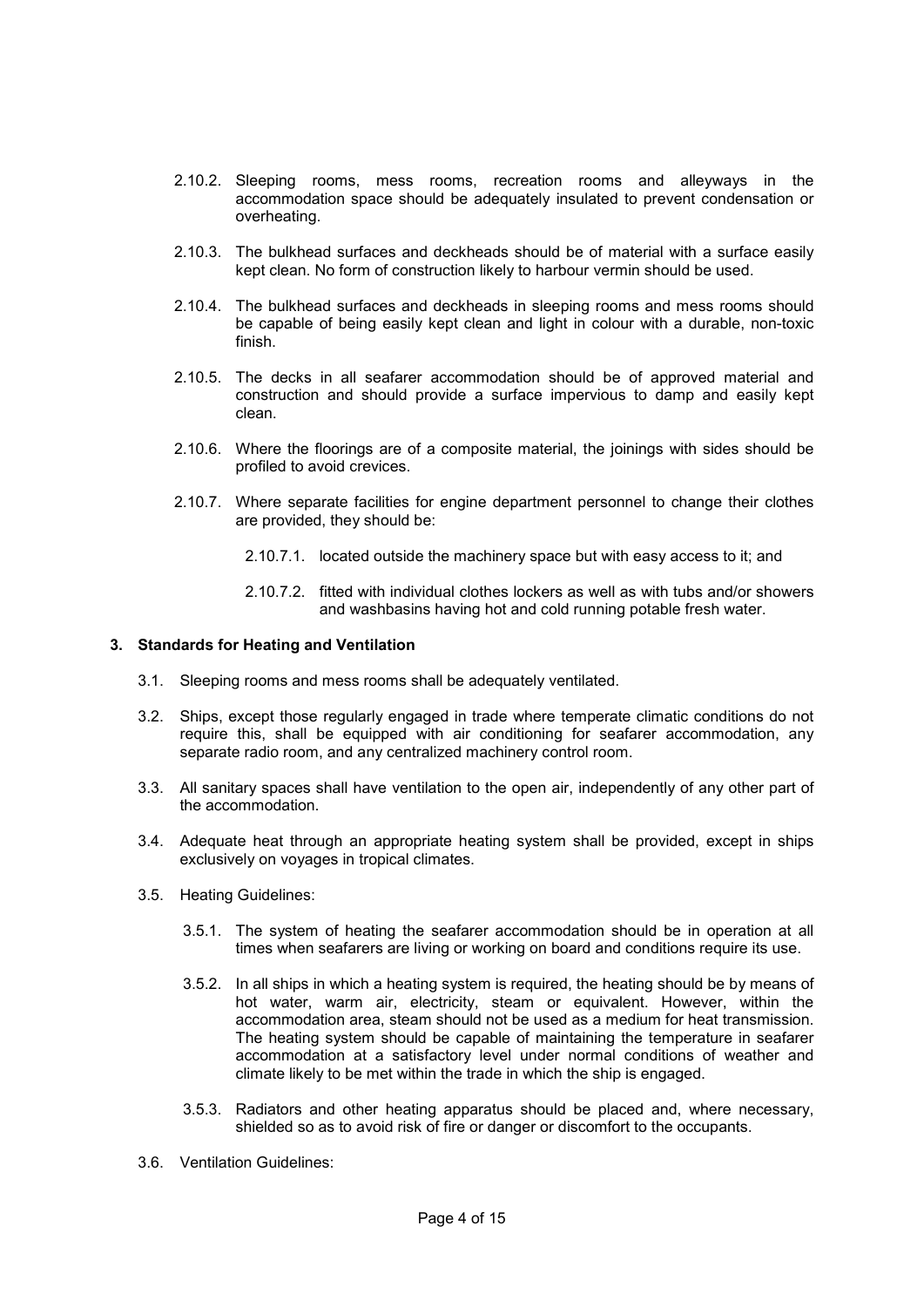- 2.10.2. Sleeping rooms, mess rooms, recreation rooms and alleyways in the accommodation space should be adequately insulated to prevent condensation or overheating.
- 2.10.3. The bulkhead surfaces and deckheads should be of material with a surface easily kept clean. No form of construction likely to harbour vermin should be used.
- 2.10.4. The bulkhead surfaces and deckheads in sleeping rooms and mess rooms should be capable of being easily kept clean and light in colour with a durable, non-toxic finish.
- 2.10.5. The decks in all seafarer accommodation should be of approved material and construction and should provide a surface impervious to damp and easily kept clean.
- 2.10.6. Where the floorings are of a composite material, the joinings with sides should be profiled to avoid crevices.
- 2.10.7. Where separate facilities for engine department personnel to change their clothes are provided, they should be:
	- 2.10.7.1. located outside the machinery space but with easy access to it; and
	- 2.10.7.2. fitted with individual clothes lockers as well as with tubs and/or showers and washbasins having hot and cold running potable fresh water.

## **3. Standards for Heating and Ventilation**

- 3.1. Sleeping rooms and mess rooms shall be adequately ventilated.
- 3.2. Ships, except those regularly engaged in trade where temperate climatic conditions do not require this, shall be equipped with air conditioning for seafarer accommodation, any separate radio room, and any centralized machinery control room.
- 3.3. All sanitary spaces shall have ventilation to the open air, independently of any other part of the accommodation.
- 3.4. Adequate heat through an appropriate heating system shall be provided, except in ships exclusively on voyages in tropical climates.
- 3.5. Heating Guidelines:
	- 3.5.1. The system of heating the seafarer accommodation should be in operation at all times when seafarers are living or working on board and conditions require its use.
	- 3.5.2. In all ships in which a heating system is required, the heating should be by means of hot water, warm air, electricity, steam or equivalent. However, within the accommodation area, steam should not be used as a medium for heat transmission. The heating system should be capable of maintaining the temperature in seafarer accommodation at a satisfactory level under normal conditions of weather and climate likely to be met within the trade in which the ship is engaged.
	- 3.5.3. Radiators and other heating apparatus should be placed and, where necessary, shielded so as to avoid risk of fire or danger or discomfort to the occupants.
- 3.6. Ventilation Guidelines: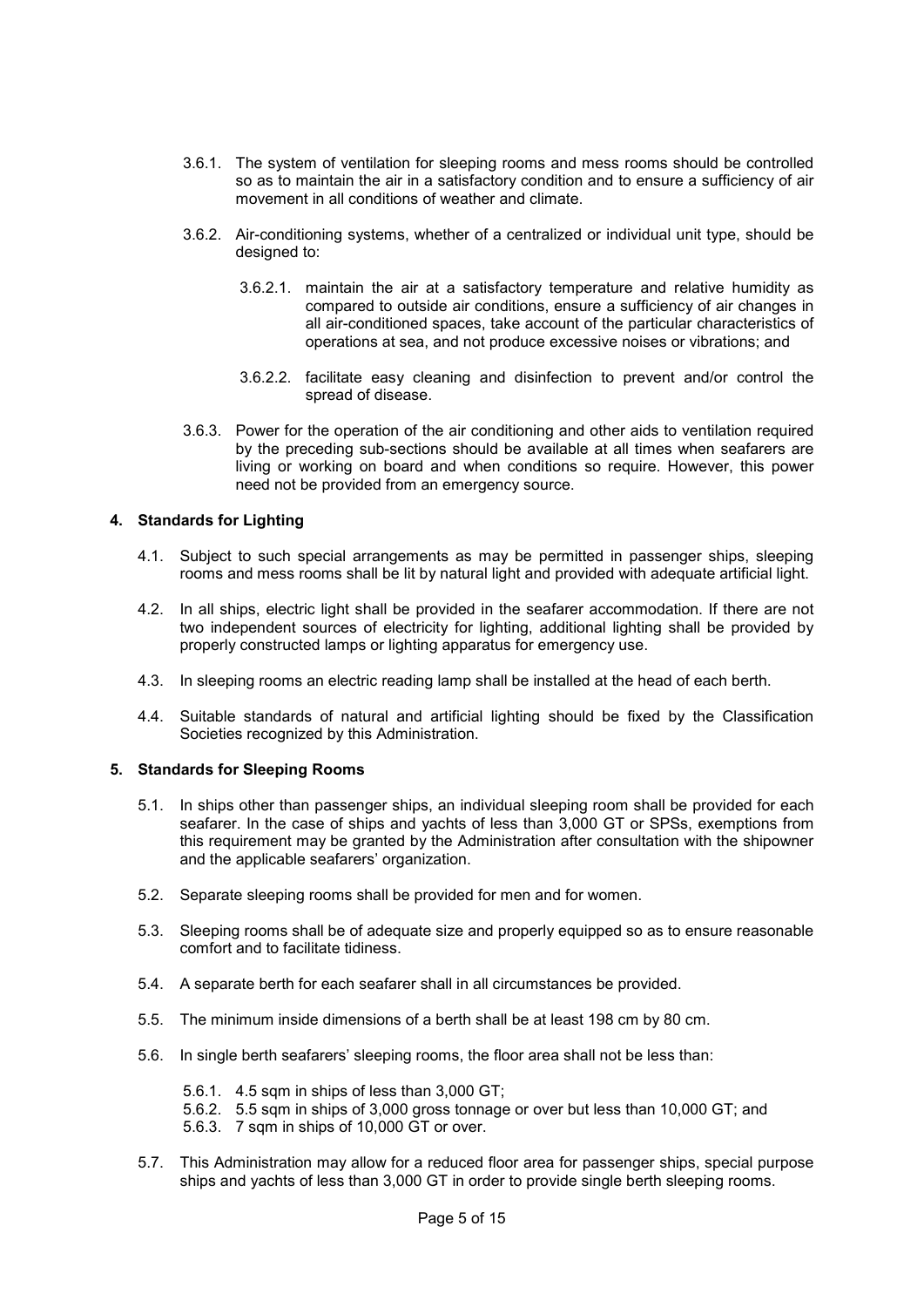- 3.6.1. The system of ventilation for sleeping rooms and mess rooms should be controlled so as to maintain the air in a satisfactory condition and to ensure a sufficiency of air movement in all conditions of weather and climate.
- 3.6.2. Air-conditioning systems, whether of a centralized or individual unit type, should be designed to:
	- 3.6.2.1. maintain the air at a satisfactory temperature and relative humidity as compared to outside air conditions, ensure a sufficiency of air changes in all air-conditioned spaces, take account of the particular characteristics of operations at sea, and not produce excessive noises or vibrations; and
	- 3.6.2.2. facilitate easy cleaning and disinfection to prevent and/or control the spread of disease.
- 3.6.3. Power for the operation of the air conditioning and other aids to ventilation required by the preceding sub-sections should be available at all times when seafarers are living or working on board and when conditions so require. However, this power need not be provided from an emergency source.

## **4. Standards for Lighting**

- 4.1. Subject to such special arrangements as may be permitted in passenger ships, sleeping rooms and mess rooms shall be lit by natural light and provided with adequate artificial light.
- 4.2. In all ships, electric light shall be provided in the seafarer accommodation. If there are not two independent sources of electricity for lighting, additional lighting shall be provided by properly constructed lamps or lighting apparatus for emergency use.
- 4.3. In sleeping rooms an electric reading lamp shall be installed at the head of each berth.
- 4.4. Suitable standards of natural and artificial lighting should be fixed by the Classification Societies recognized by this Administration.

#### **5. Standards for Sleeping Rooms**

- 5.1. In ships other than passenger ships, an individual sleeping room shall be provided for each seafarer. In the case of ships and yachts of less than 3,000 GT or SPSs, exemptions from this requirement may be granted by the Administration after consultation with the shipowner and the applicable seafarers' organization.
- 5.2. Separate sleeping rooms shall be provided for men and for women.
- 5.3. Sleeping rooms shall be of adequate size and properly equipped so as to ensure reasonable comfort and to facilitate tidiness.
- 5.4. A separate berth for each seafarer shall in all circumstances be provided.
- 5.5. The minimum inside dimensions of a berth shall be at least 198 cm by 80 cm.
- 5.6. In single berth seafarers' sleeping rooms, the floor area shall not be less than:
	- 5.6.1. 4.5 sqm in ships of less than 3,000 GT;
	- 5.6.2. 5.5 sqm in ships of 3,000 gross tonnage or over but less than 10,000 GT; and
	- 5.6.3. 7 sqm in ships of 10,000 GT or over.
- 5.7. This Administration may allow for a reduced floor area for passenger ships, special purpose ships and yachts of less than 3,000 GT in order to provide single berth sleeping rooms.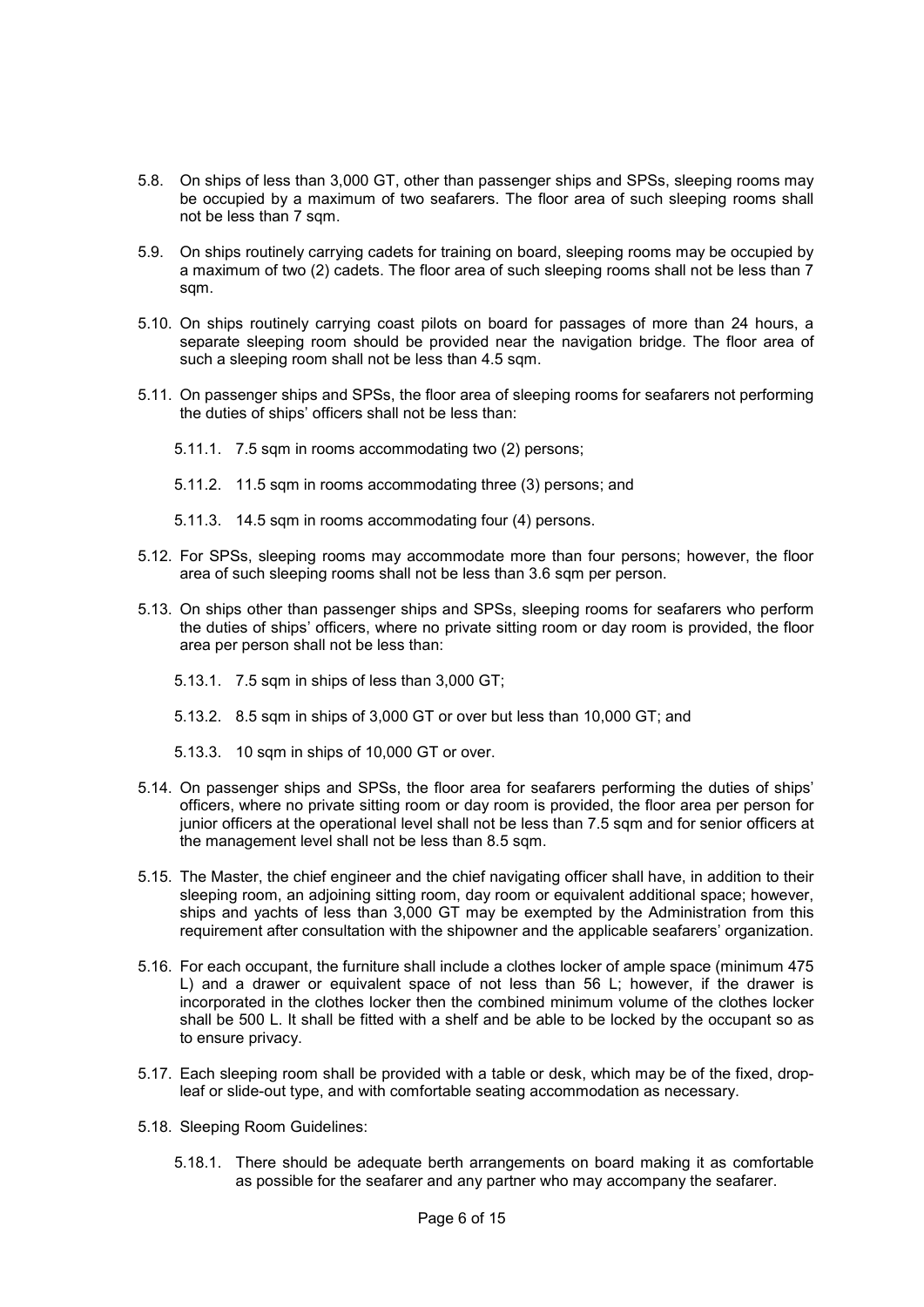- 5.8. On ships of less than 3,000 GT, other than passenger ships and SPSs, sleeping rooms may be occupied by a maximum of two seafarers. The floor area of such sleeping rooms shall not be less than 7 sqm.
- 5.9. On ships routinely carrying cadets for training on board, sleeping rooms may be occupied by a maximum of two (2) cadets. The floor area of such sleeping rooms shall not be less than 7 sam.
- 5.10. On ships routinely carrying coast pilots on board for passages of more than 24 hours, a separate sleeping room should be provided near the navigation bridge. The floor area of such a sleeping room shall not be less than 4.5 sqm.
- 5.11. On passenger ships and SPSs, the floor area of sleeping rooms for seafarers not performing the duties of ships' officers shall not be less than:
	- 5.11.1. 7.5 sqm in rooms accommodating two (2) persons;
	- 5.11.2. 11.5 sqm in rooms accommodating three (3) persons; and
	- 5.11.3. 14.5 sqm in rooms accommodating four (4) persons.
- 5.12. For SPSs, sleeping rooms may accommodate more than four persons; however, the floor area of such sleeping rooms shall not be less than 3.6 sqm per person.
- 5.13. On ships other than passenger ships and SPSs, sleeping rooms for seafarers who perform the duties of ships' officers, where no private sitting room or day room is provided, the floor area per person shall not be less than:
	- 5.13.1. 7.5 sqm in ships of less than 3,000 GT;
	- 5.13.2. 8.5 sqm in ships of 3,000 GT or over but less than 10,000 GT; and
	- 5.13.3. 10 sqm in ships of 10,000 GT or over.
- 5.14. On passenger ships and SPSs, the floor area for seafarers performing the duties of ships' officers, where no private sitting room or day room is provided, the floor area per person for junior officers at the operational level shall not be less than 7.5 sqm and for senior officers at the management level shall not be less than 8.5 sqm.
- 5.15. The Master, the chief engineer and the chief navigating officer shall have, in addition to their sleeping room, an adjoining sitting room, day room or equivalent additional space; however, ships and yachts of less than 3,000 GT may be exempted by the Administration from this requirement after consultation with the shipowner and the applicable seafarers' organization.
- 5.16. For each occupant, the furniture shall include a clothes locker of ample space (minimum 475 L) and a drawer or equivalent space of not less than 56 L; however, if the drawer is incorporated in the clothes locker then the combined minimum volume of the clothes locker shall be 500 L. It shall be fitted with a shelf and be able to be locked by the occupant so as to ensure privacy.
- 5.17. Each sleeping room shall be provided with a table or desk, which may be of the fixed, dropleaf or slide-out type, and with comfortable seating accommodation as necessary.
- 5.18. Sleeping Room Guidelines:
	- 5.18.1. There should be adequate berth arrangements on board making it as comfortable as possible for the seafarer and any partner who may accompany the seafarer.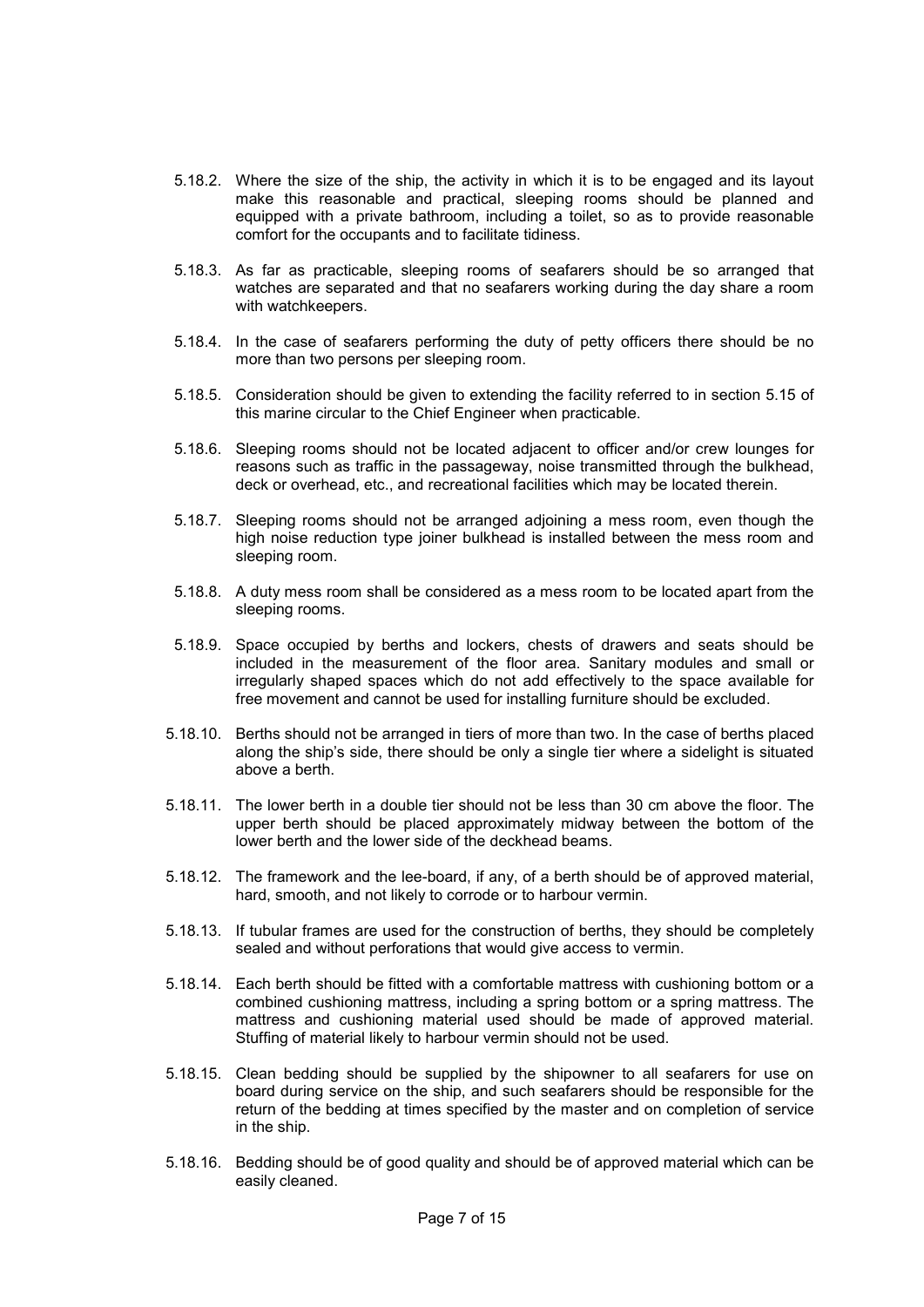- 5.18.2. Where the size of the ship, the activity in which it is to be engaged and its layout make this reasonable and practical, sleeping rooms should be planned and equipped with a private bathroom, including a toilet, so as to provide reasonable comfort for the occupants and to facilitate tidiness.
- 5.18.3. As far as practicable, sleeping rooms of seafarers should be so arranged that watches are separated and that no seafarers working during the day share a room with watchkeepers.
- 5.18.4. In the case of seafarers performing the duty of petty officers there should be no more than two persons per sleeping room.
- 5.18.5. Consideration should be given to extending the facility referred to in section 5.15 of this marine circular to the Chief Engineer when practicable.
- 5.18.6. Sleeping rooms should not be located adjacent to officer and/or crew lounges for reasons such as traffic in the passageway, noise transmitted through the bulkhead, deck or overhead, etc., and recreational facilities which may be located therein.
- 5.18.7. Sleeping rooms should not be arranged adjoining a mess room, even though the high noise reduction type joiner bulkhead is installed between the mess room and sleeping room.
- 5.18.8. A duty mess room shall be considered as a mess room to be located apart from the sleeping rooms.
- 5.18.9. Space occupied by berths and lockers, chests of drawers and seats should be included in the measurement of the floor area. Sanitary modules and small or irregularly shaped spaces which do not add effectively to the space available for free movement and cannot be used for installing furniture should be excluded.
- 5.18.10. Berths should not be arranged in tiers of more than two. In the case of berths placed along the ship's side, there should be only a single tier where a sidelight is situated above a berth.
- 5.18.11. The lower berth in a double tier should not be less than 30 cm above the floor. The upper berth should be placed approximately midway between the bottom of the lower berth and the lower side of the deckhead beams.
- 5.18.12. The framework and the lee-board, if any, of a berth should be of approved material, hard, smooth, and not likely to corrode or to harbour vermin.
- 5.18.13. If tubular frames are used for the construction of berths, they should be completely sealed and without perforations that would give access to vermin.
- 5.18.14. Each berth should be fitted with a comfortable mattress with cushioning bottom or a combined cushioning mattress, including a spring bottom or a spring mattress. The mattress and cushioning material used should be made of approved material. Stuffing of material likely to harbour vermin should not be used.
- 5.18.15. Clean bedding should be supplied by the shipowner to all seafarers for use on board during service on the ship, and such seafarers should be responsible for the return of the bedding at times specified by the master and on completion of service in the ship.
- 5.18.16. Bedding should be of good quality and should be of approved material which can be easily cleaned.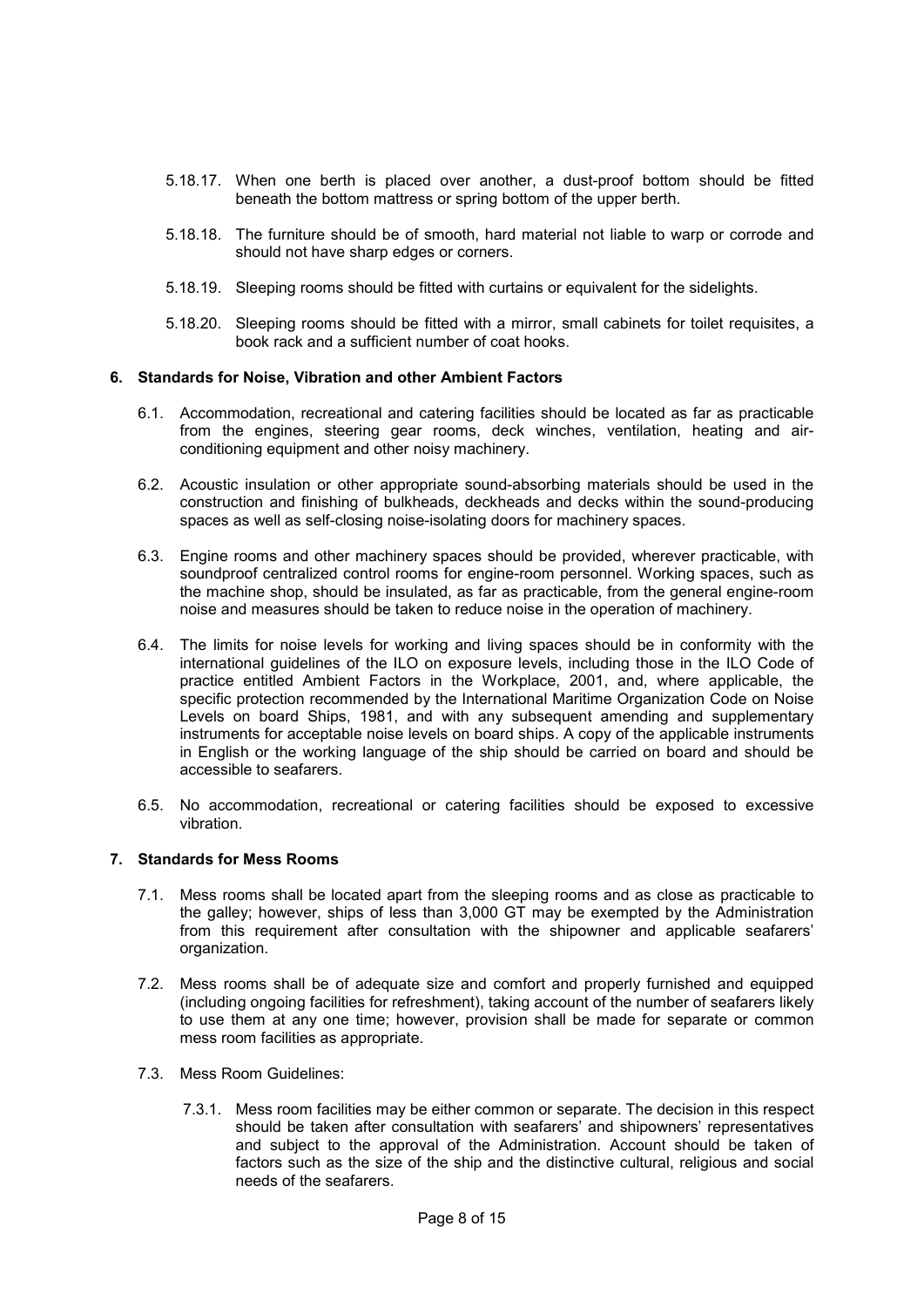- 5.18.17. When one berth is placed over another, a dust-proof bottom should be fitted beneath the bottom mattress or spring bottom of the upper berth.
- 5.18.18. The furniture should be of smooth, hard material not liable to warp or corrode and should not have sharp edges or corners.
- 5.18.19. Sleeping rooms should be fitted with curtains or equivalent for the sidelights.
- 5.18.20. Sleeping rooms should be fitted with a mirror, small cabinets for toilet requisites, a book rack and a sufficient number of coat hooks.

#### **6. Standards for Noise, Vibration and other Ambient Factors**

- 6.1. Accommodation, recreational and catering facilities should be located as far as practicable from the engines, steering gear rooms, deck winches, ventilation, heating and airconditioning equipment and other noisy machinery.
- 6.2. Acoustic insulation or other appropriate sound-absorbing materials should be used in the construction and finishing of bulkheads, deckheads and decks within the sound-producing spaces as well as self-closing noise-isolating doors for machinery spaces.
- 6.3. Engine rooms and other machinery spaces should be provided, wherever practicable, with soundproof centralized control rooms for engine-room personnel. Working spaces, such as the machine shop, should be insulated, as far as practicable, from the general engine-room noise and measures should be taken to reduce noise in the operation of machinery.
- 6.4. The limits for noise levels for working and living spaces should be in conformity with the international guidelines of the ILO on exposure levels, including those in the ILO Code of practice entitled Ambient Factors in the Workplace, 2001, and, where applicable, the specific protection recommended by the International Maritime Organization Code on Noise Levels on board Ships, 1981, and with any subsequent amending and supplementary instruments for acceptable noise levels on board ships. A copy of the applicable instruments in English or the working language of the ship should be carried on board and should be accessible to seafarers.
- 6.5. No accommodation, recreational or catering facilities should be exposed to excessive vibration.

## **7. Standards for Mess Rooms**

- 7.1. Mess rooms shall be located apart from the sleeping rooms and as close as practicable to the galley; however, ships of less than 3,000 GT may be exempted by the Administration from this requirement after consultation with the shipowner and applicable seafarers' organization.
- 7.2. Mess rooms shall be of adequate size and comfort and properly furnished and equipped (including ongoing facilities for refreshment), taking account of the number of seafarers likely to use them at any one time; however, provision shall be made for separate or common mess room facilities as appropriate.
- 7.3. Mess Room Guidelines:
	- 7.3.1. Mess room facilities may be either common or separate. The decision in this respect should be taken after consultation with seafarers' and shipowners' representatives and subject to the approval of the Administration. Account should be taken of factors such as the size of the ship and the distinctive cultural, religious and social needs of the seafarers.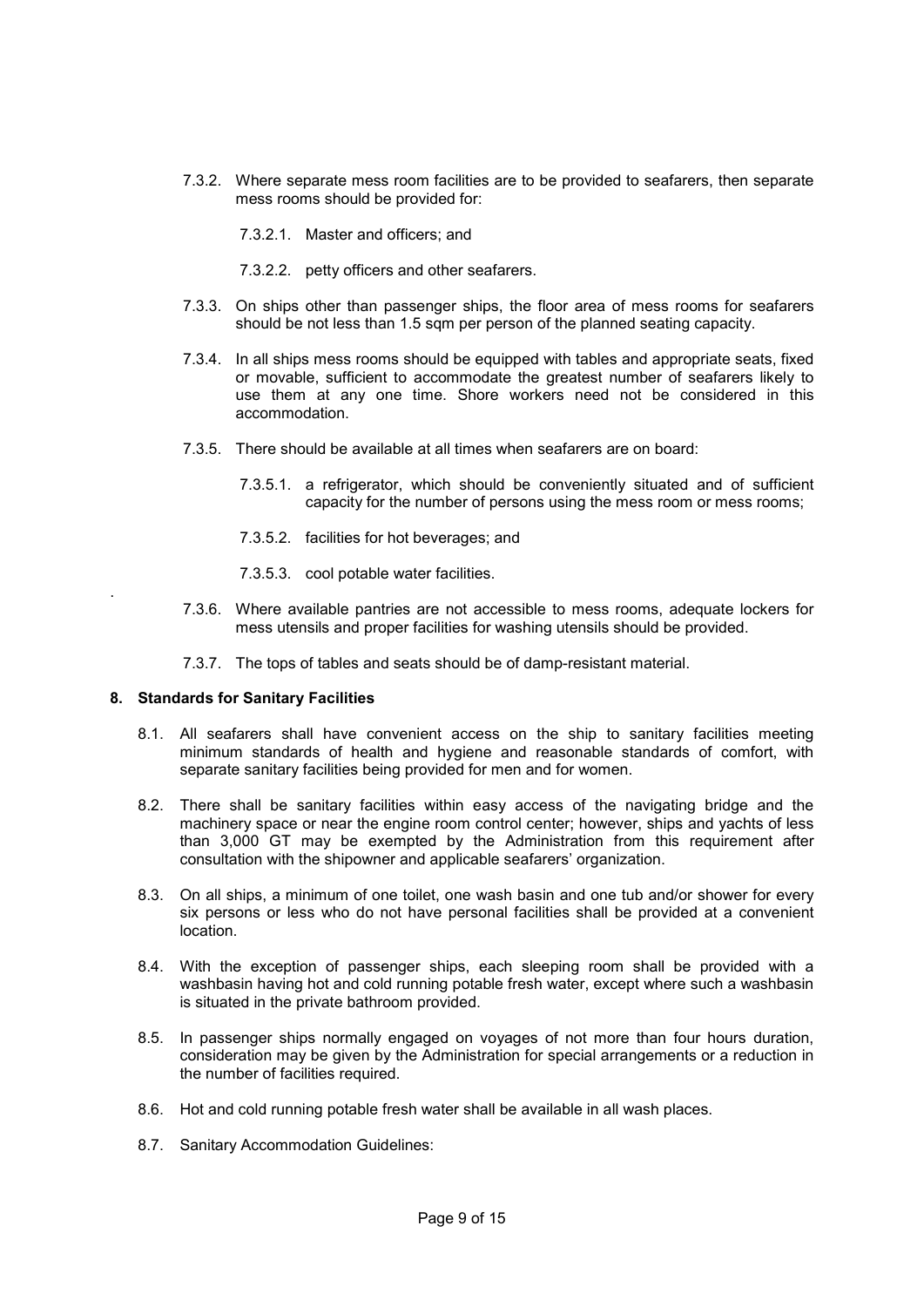- 7.3.2. Where separate mess room facilities are to be provided to seafarers, then separate mess rooms should be provided for:
	- 7.3.2.1. Master and officers; and
	- 7.3.2.2. petty officers and other seafarers.
- 7.3.3. On ships other than passenger ships, the floor area of mess rooms for seafarers should be not less than 1.5 sqm per person of the planned seating capacity.
- 7.3.4. In all ships mess rooms should be equipped with tables and appropriate seats, fixed or movable, sufficient to accommodate the greatest number of seafarers likely to use them at any one time. Shore workers need not be considered in this accommodation.
- 7.3.5. There should be available at all times when seafarers are on board:
	- 7.3.5.1. a refrigerator, which should be conveniently situated and of sufficient capacity for the number of persons using the mess room or mess rooms;
	- 7.3.5.2. facilities for hot beverages; and
	- 7.3.5.3. cool potable water facilities.
- 7.3.6. Where available pantries are not accessible to mess rooms, adequate lockers for mess utensils and proper facilities for washing utensils should be provided.
- 7.3.7. The tops of tables and seats should be of damp-resistant material.

## **8. Standards for Sanitary Facilities**

.

- 8.1. All seafarers shall have convenient access on the ship to sanitary facilities meeting minimum standards of health and hygiene and reasonable standards of comfort, with separate sanitary facilities being provided for men and for women.
- 8.2. There shall be sanitary facilities within easy access of the navigating bridge and the machinery space or near the engine room control center; however, ships and yachts of less than 3,000 GT may be exempted by the Administration from this requirement after consultation with the shipowner and applicable seafarers' organization.
- 8.3. On all ships, a minimum of one toilet, one wash basin and one tub and/or shower for every six persons or less who do not have personal facilities shall be provided at a convenient location.
- 8.4. With the exception of passenger ships, each sleeping room shall be provided with a washbasin having hot and cold running potable fresh water, except where such a washbasin is situated in the private bathroom provided.
- 8.5. In passenger ships normally engaged on voyages of not more than four hours duration, consideration may be given by the Administration for special arrangements or a reduction in the number of facilities required.
- 8.6. Hot and cold running potable fresh water shall be available in all wash places.
- 8.7. Sanitary Accommodation Guidelines: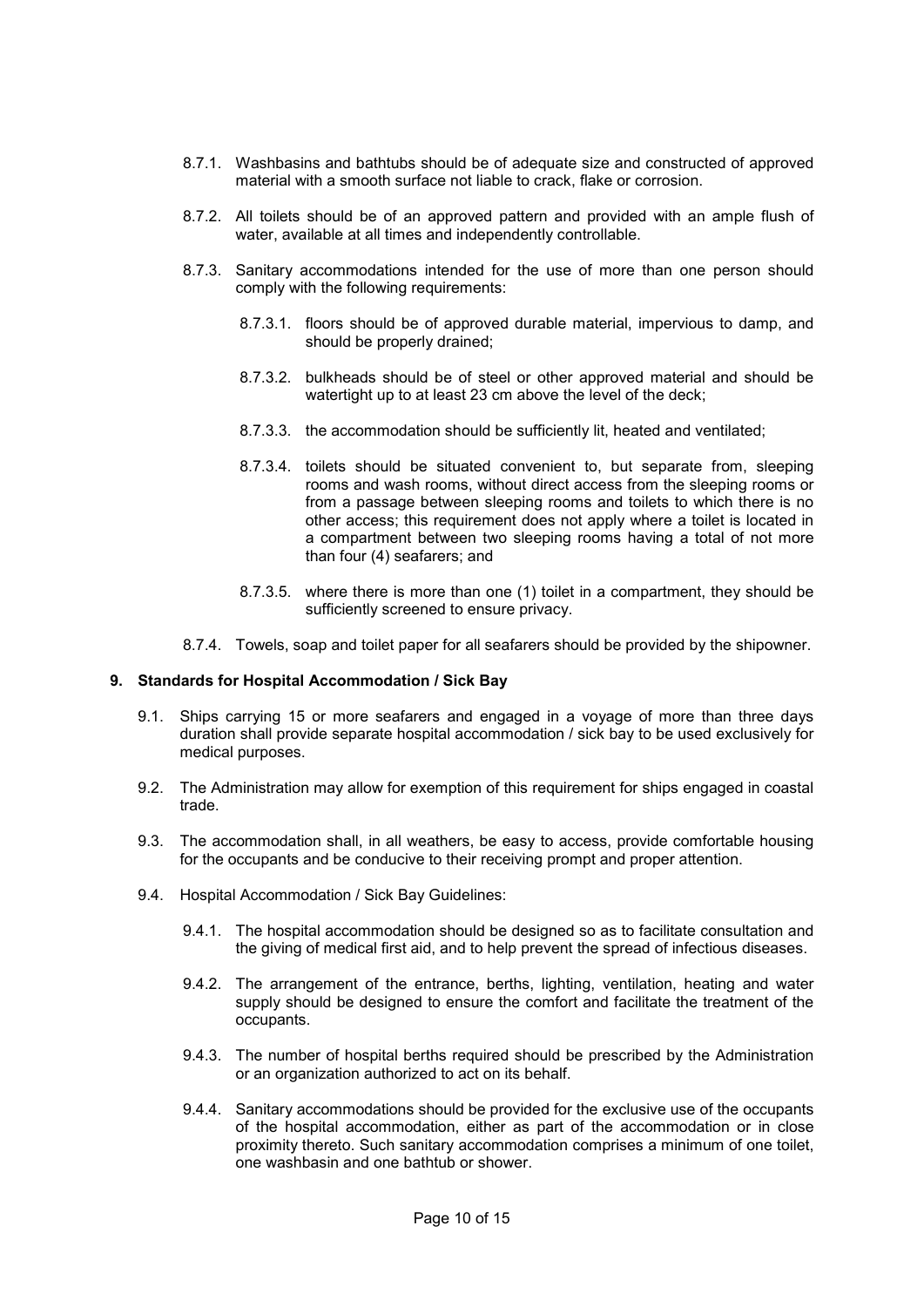- 8.7.1. Washbasins and bathtubs should be of adequate size and constructed of approved material with a smooth surface not liable to crack, flake or corrosion.
- 8.7.2. All toilets should be of an approved pattern and provided with an ample flush of water, available at all times and independently controllable.
- 8.7.3. Sanitary accommodations intended for the use of more than one person should comply with the following requirements:
	- 8.7.3.1. floors should be of approved durable material, impervious to damp, and should be properly drained;
	- 8.7.3.2. bulkheads should be of steel or other approved material and should be watertight up to at least 23 cm above the level of the deck;
	- 8.7.3.3. the accommodation should be sufficiently lit, heated and ventilated;
	- 8.7.3.4. toilets should be situated convenient to, but separate from, sleeping rooms and wash rooms, without direct access from the sleeping rooms or from a passage between sleeping rooms and toilets to which there is no other access; this requirement does not apply where a toilet is located in a compartment between two sleeping rooms having a total of not more than four (4) seafarers; and
	- 8.7.3.5. where there is more than one (1) toilet in a compartment, they should be sufficiently screened to ensure privacy.
- 8.7.4. Towels, soap and toilet paper for all seafarers should be provided by the shipowner.

#### **9. Standards for Hospital Accommodation / Sick Bay**

- 9.1. Ships carrying 15 or more seafarers and engaged in a voyage of more than three days duration shall provide separate hospital accommodation / sick bay to be used exclusively for medical purposes.
- 9.2. The Administration may allow for exemption of this requirement for ships engaged in coastal trade.
- 9.3. The accommodation shall, in all weathers, be easy to access, provide comfortable housing for the occupants and be conducive to their receiving prompt and proper attention.
- 9.4. Hospital Accommodation / Sick Bay Guidelines:
	- 9.4.1. The hospital accommodation should be designed so as to facilitate consultation and the giving of medical first aid, and to help prevent the spread of infectious diseases.
	- 9.4.2. The arrangement of the entrance, berths, lighting, ventilation, heating and water supply should be designed to ensure the comfort and facilitate the treatment of the occupants.
	- 9.4.3. The number of hospital berths required should be prescribed by the Administration or an organization authorized to act on its behalf.
	- 9.4.4. Sanitary accommodations should be provided for the exclusive use of the occupants of the hospital accommodation, either as part of the accommodation or in close proximity thereto. Such sanitary accommodation comprises a minimum of one toilet, one washbasin and one bathtub or shower.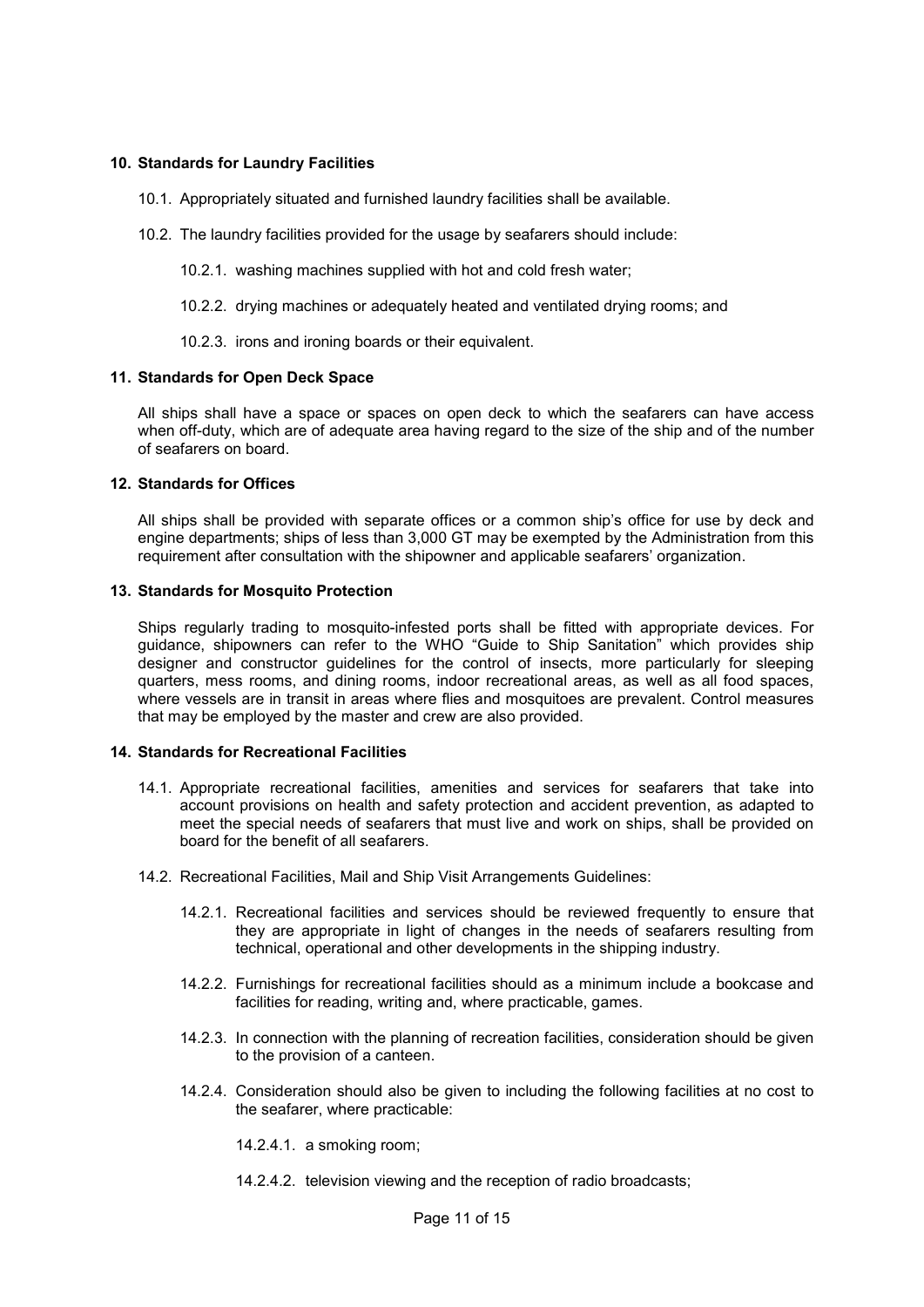## **10. Standards for Laundry Facilities**

- 10.1. Appropriately situated and furnished laundry facilities shall be available.
- 10.2. The laundry facilities provided for the usage by seafarers should include:
	- 10.2.1. washing machines supplied with hot and cold fresh water;
	- 10.2.2. drying machines or adequately heated and ventilated drying rooms; and
	- 10.2.3. irons and ironing boards or their equivalent.

## **11. Standards for Open Deck Space**

All ships shall have a space or spaces on open deck to which the seafarers can have access when off-duty, which are of adequate area having regard to the size of the ship and of the number of seafarers on board.

## **12. Standards for Offices**

All ships shall be provided with separate offices or a common ship's office for use by deck and engine departments; ships of less than 3,000 GT may be exempted by the Administration from this requirement after consultation with the shipowner and applicable seafarers' organization.

## **13. Standards for Mosquito Protection**

Ships regularly trading to mosquito-infested ports shall be fitted with appropriate devices. For guidance, shipowners can refer to the WHO "Guide to Ship Sanitation" which provides ship designer and constructor guidelines for the control of insects, more particularly for sleeping quarters, mess rooms, and dining rooms, indoor recreational areas, as well as all food spaces, where vessels are in transit in areas where flies and mosquitoes are prevalent. Control measures that may be employed by the master and crew are also provided.

#### **14. Standards for Recreational Facilities**

- 14.1. Appropriate recreational facilities, amenities and services for seafarers that take into account provisions on health and safety protection and accident prevention, as adapted to meet the special needs of seafarers that must live and work on ships, shall be provided on board for the benefit of all seafarers.
- 14.2. Recreational Facilities, Mail and Ship Visit Arrangements Guidelines:
	- 14.2.1. Recreational facilities and services should be reviewed frequently to ensure that they are appropriate in light of changes in the needs of seafarers resulting from technical, operational and other developments in the shipping industry.
	- 14.2.2. Furnishings for recreational facilities should as a minimum include a bookcase and facilities for reading, writing and, where practicable, games.
	- 14.2.3. In connection with the planning of recreation facilities, consideration should be given to the provision of a canteen.
	- 14.2.4. Consideration should also be given to including the following facilities at no cost to the seafarer, where practicable:

14.2.4.1. a smoking room;

14.2.4.2. television viewing and the reception of radio broadcasts;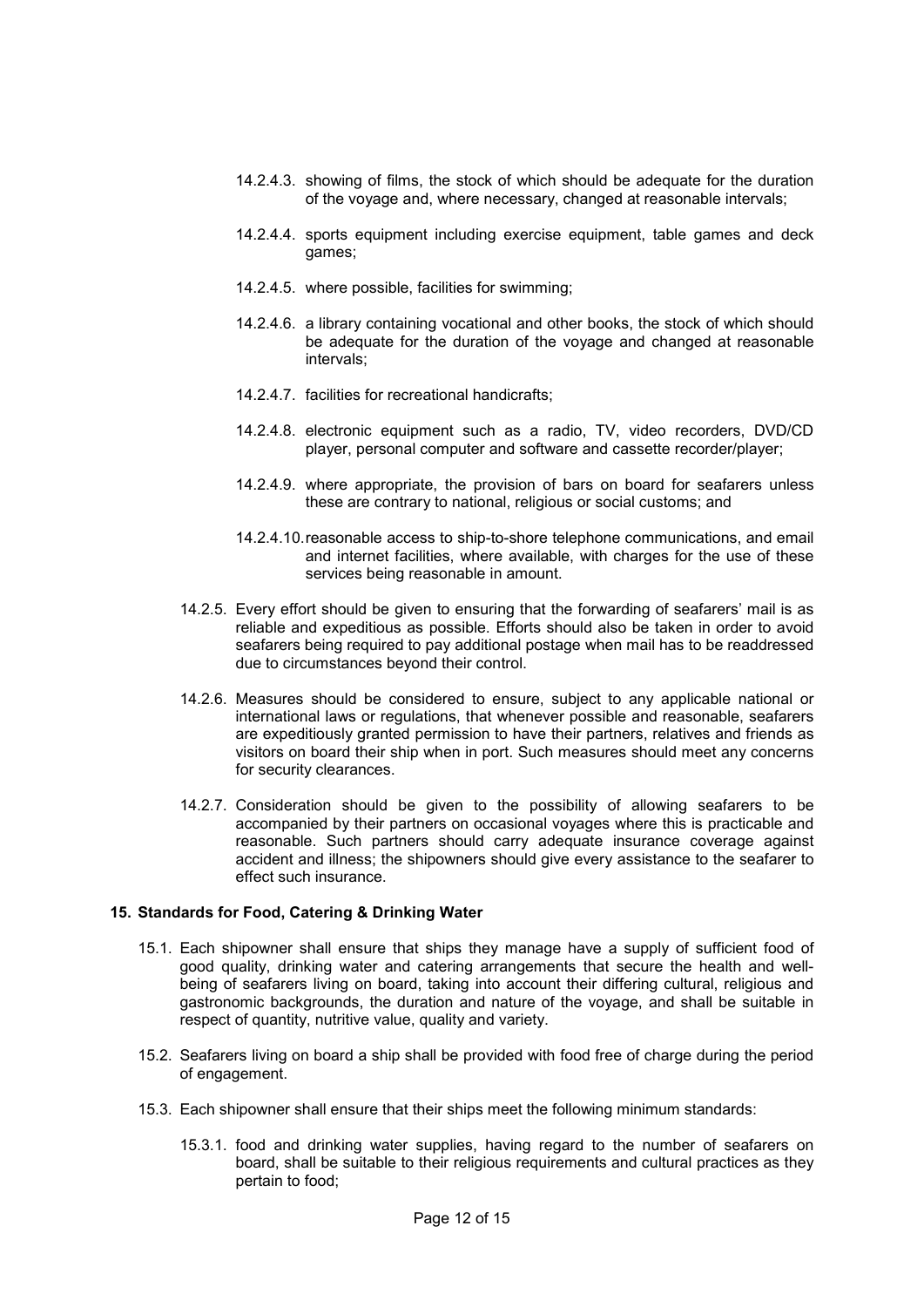- 14.2.4.3. showing of films, the stock of which should be adequate for the duration of the voyage and, where necessary, changed at reasonable intervals;
- 14.2.4.4. sports equipment including exercise equipment, table games and deck games;
- 14.2.4.5. where possible, facilities for swimming;
- 14.2.4.6. a library containing vocational and other books, the stock of which should be adequate for the duration of the voyage and changed at reasonable intervals;
- 14.2.4.7. facilities for recreational handicrafts;
- 14.2.4.8. electronic equipment such as a radio, TV, video recorders, DVD/CD player, personal computer and software and cassette recorder/player;
- 14.2.4.9. where appropriate, the provision of bars on board for seafarers unless these are contrary to national, religious or social customs; and
- 14.2.4.10. reasonable access to ship-to-shore telephone communications, and email and internet facilities, where available, with charges for the use of these services being reasonable in amount.
- 14.2.5. Every effort should be given to ensuring that the forwarding of seafarers' mail is as reliable and expeditious as possible. Efforts should also be taken in order to avoid seafarers being required to pay additional postage when mail has to be readdressed due to circumstances beyond their control.
- 14.2.6. Measures should be considered to ensure, subject to any applicable national or international laws or regulations, that whenever possible and reasonable, seafarers are expeditiously granted permission to have their partners, relatives and friends as visitors on board their ship when in port. Such measures should meet any concerns for security clearances.
- 14.2.7. Consideration should be given to the possibility of allowing seafarers to be accompanied by their partners on occasional voyages where this is practicable and reasonable. Such partners should carry adequate insurance coverage against accident and illness; the shipowners should give every assistance to the seafarer to effect such insurance.

#### **15. Standards for Food, Catering & Drinking Water**

- 15.1. Each shipowner shall ensure that ships they manage have a supply of sufficient food of good quality, drinking water and catering arrangements that secure the health and wellbeing of seafarers living on board, taking into account their differing cultural, religious and gastronomic backgrounds, the duration and nature of the voyage, and shall be suitable in respect of quantity, nutritive value, quality and variety.
- 15.2. Seafarers living on board a ship shall be provided with food free of charge during the period of engagement.
- 15.3. Each shipowner shall ensure that their ships meet the following minimum standards:
	- 15.3.1. food and drinking water supplies, having regard to the number of seafarers on board, shall be suitable to their religious requirements and cultural practices as they pertain to food;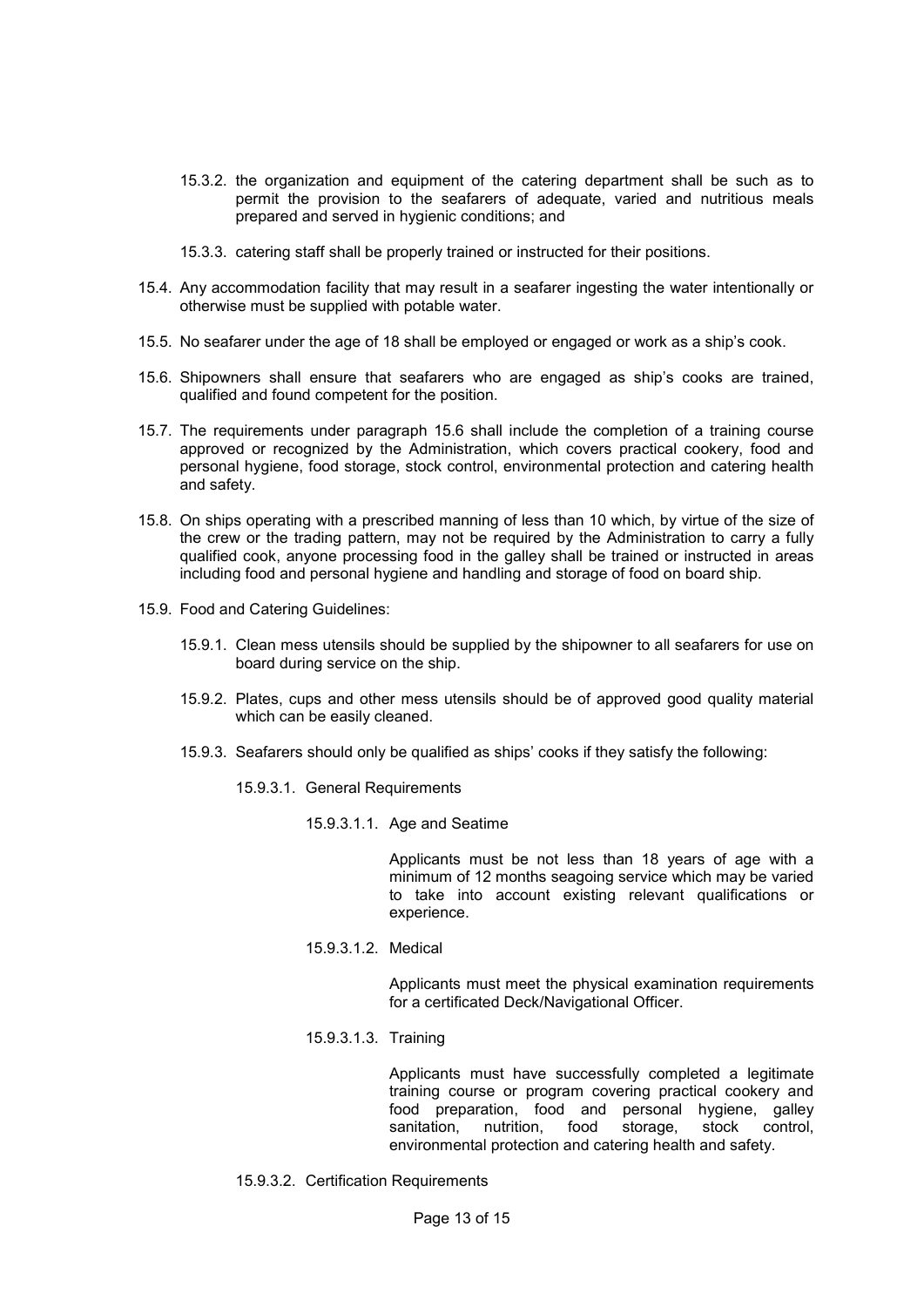- 15.3.2. the organization and equipment of the catering department shall be such as to permit the provision to the seafarers of adequate, varied and nutritious meals prepared and served in hygienic conditions; and
- 15.3.3. catering staff shall be properly trained or instructed for their positions.
- 15.4. Any accommodation facility that may result in a seafarer ingesting the water intentionally or otherwise must be supplied with potable water.
- 15.5. No seafarer under the age of 18 shall be employed or engaged or work as a ship's cook.
- 15.6. Shipowners shall ensure that seafarers who are engaged as ship's cooks are trained, qualified and found competent for the position.
- 15.7. The requirements under paragraph 15.6 shall include the completion of a training course approved or recognized by the Administration, which covers practical cookery, food and personal hygiene, food storage, stock control, environmental protection and catering health and safety.
- 15.8. On ships operating with a prescribed manning of less than 10 which, by virtue of the size of the crew or the trading pattern, may not be required by the Administration to carry a fully qualified cook, anyone processing food in the galley shall be trained or instructed in areas including food and personal hygiene and handling and storage of food on board ship.
- 15.9. Food and Catering Guidelines:
	- 15.9.1. Clean mess utensils should be supplied by the shipowner to all seafarers for use on board during service on the ship.
	- 15.9.2. Plates, cups and other mess utensils should be of approved good quality material which can be easily cleaned.
	- 15.9.3. Seafarers should only be qualified as ships' cooks if they satisfy the following:
		- 15.9.3.1. General Requirements
			- 15.9.3.1.1. Age and Seatime

Applicants must be not less than 18 years of age with a minimum of 12 months seagoing service which may be varied to take into account existing relevant qualifications or experience.

15.9.3.1.2. Medical

Applicants must meet the physical examination requirements for a certificated Deck/Navigational Officer.

15.9.3.1.3. Training

Applicants must have successfully completed a legitimate training course or program covering practical cookery and food preparation, food and personal hygiene, galley sanitation, nutrition, food storage, stock control, environmental protection and catering health and safety.

15.9.3.2. Certification Requirements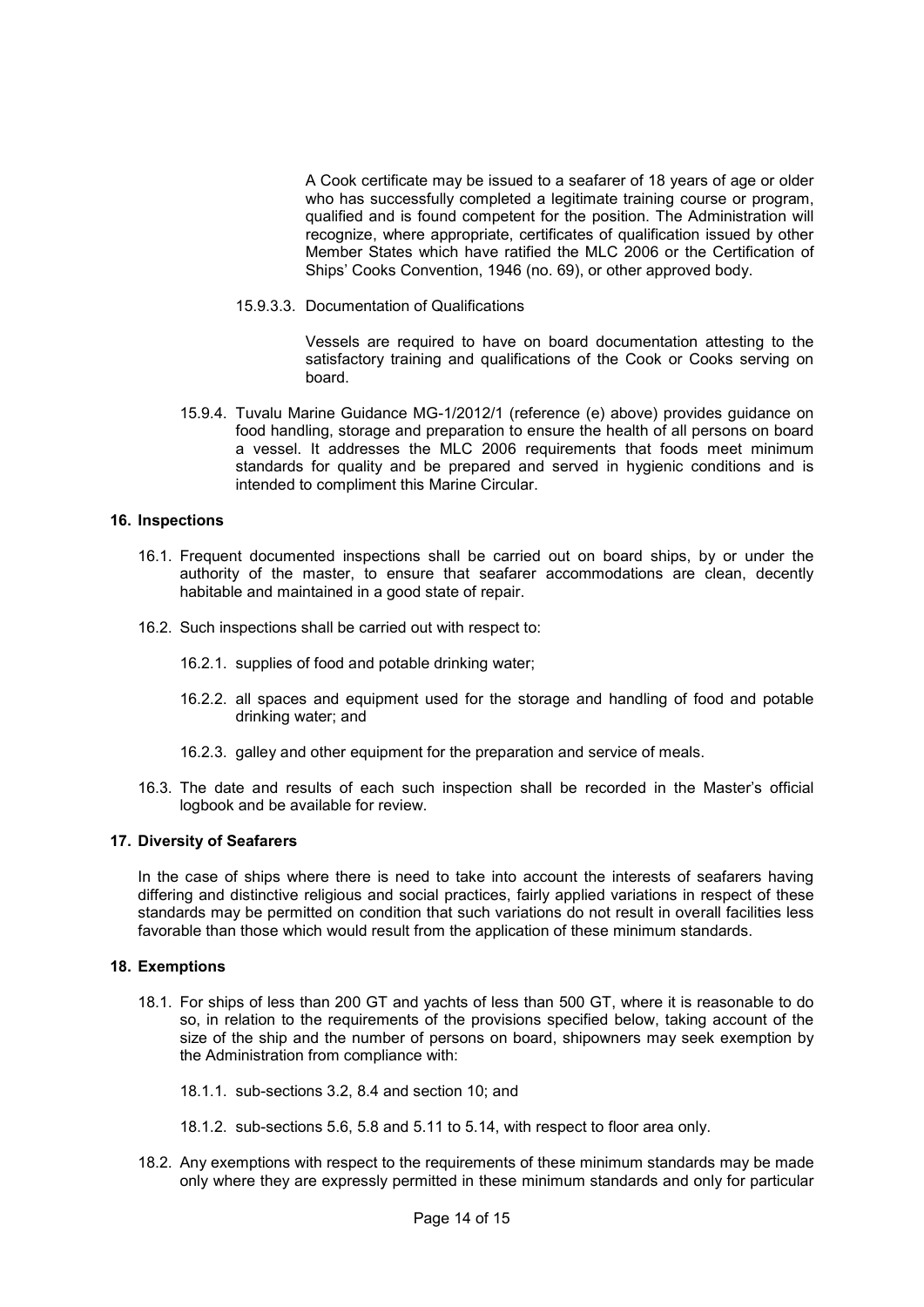A Cook certificate may be issued to a seafarer of 18 years of age or older who has successfully completed a legitimate training course or program, qualified and is found competent for the position. The Administration will recognize, where appropriate, certificates of qualification issued by other Member States which have ratified the MLC 2006 or the Certification of Ships' Cooks Convention, 1946 (no. 69), or other approved body.

15.9.3.3. Documentation of Qualifications

Vessels are required to have on board documentation attesting to the satisfactory training and qualifications of the Cook or Cooks serving on board.

15.9.4. Tuvalu Marine Guidance MG-1/2012/1 (reference (e) above) provides guidance on food handling, storage and preparation to ensure the health of all persons on board a vessel. It addresses the MLC 2006 requirements that foods meet minimum standards for quality and be prepared and served in hygienic conditions and is intended to compliment this Marine Circular.

## **16. Inspections**

- 16.1. Frequent documented inspections shall be carried out on board ships, by or under the authority of the master, to ensure that seafarer accommodations are clean, decently habitable and maintained in a good state of repair.
- 16.2. Such inspections shall be carried out with respect to:
	- 16.2.1. supplies of food and potable drinking water;
	- 16.2.2. all spaces and equipment used for the storage and handling of food and potable drinking water; and
	- 16.2.3. galley and other equipment for the preparation and service of meals.
- 16.3. The date and results of each such inspection shall be recorded in the Master's official logbook and be available for review.

#### **17. Diversity of Seafarers**

In the case of ships where there is need to take into account the interests of seafarers having differing and distinctive religious and social practices, fairly applied variations in respect of these standards may be permitted on condition that such variations do not result in overall facilities less favorable than those which would result from the application of these minimum standards.

#### **18. Exemptions**

- 18.1. For ships of less than 200 GT and yachts of less than 500 GT, where it is reasonable to do so, in relation to the requirements of the provisions specified below, taking account of the size of the ship and the number of persons on board, shipowners may seek exemption by the Administration from compliance with:
	- 18.1.1. sub-sections 3.2, 8.4 and section 10; and
	- 18.1.2. sub-sections 5.6, 5.8 and 5.11 to 5.14, with respect to floor area only.
- 18.2. Any exemptions with respect to the requirements of these minimum standards may be made only where they are expressly permitted in these minimum standards and only for particular